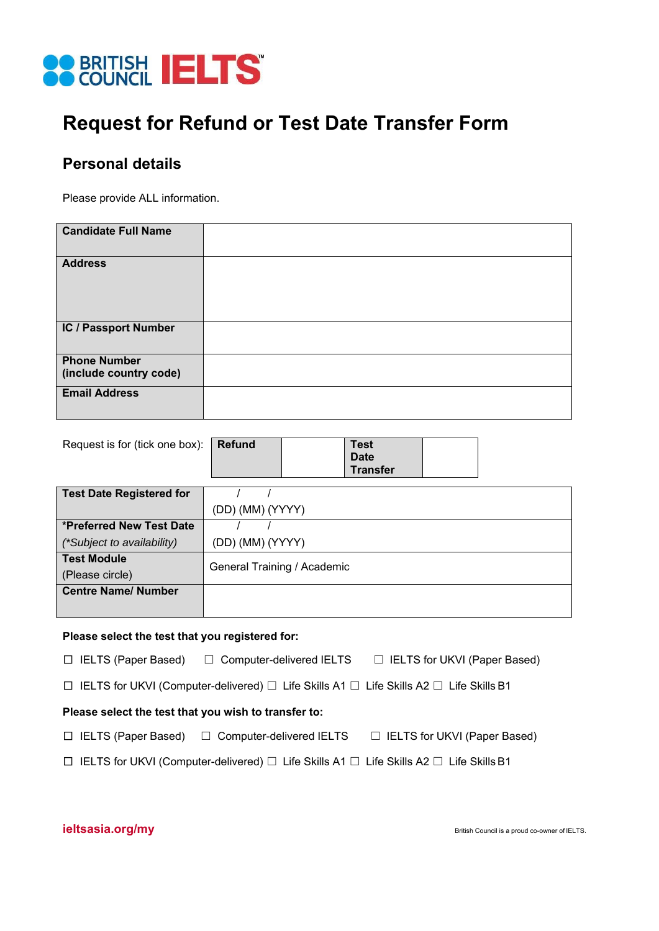

# **Request for Refund or Test Date Transfer Form**

## **Personal details**

Please provide ALL information.

| <b>Candidate Full Name</b>                    |  |
|-----------------------------------------------|--|
| <b>Address</b>                                |  |
| IC / Passport Number                          |  |
| <b>Phone Number</b><br>(include country code) |  |
| <b>Email Address</b>                          |  |

| Request is for (tick one box):  | <b>Refund</b>               |  | <b>Test</b><br><b>Date</b><br><b>Transfer</b> |  |
|---------------------------------|-----------------------------|--|-----------------------------------------------|--|
| <b>Test Date Registered for</b> |                             |  |                                               |  |
|                                 | (DD) (MM) (YYYY)            |  |                                               |  |
| *Preferred New Test Date        |                             |  |                                               |  |
| (*Subject to availability)      | (DD) (MM) (YYYY)            |  |                                               |  |
| <b>Test Module</b>              | General Training / Academic |  |                                               |  |
| (Please circle)                 |                             |  |                                               |  |
| <b>Centre Name/ Number</b>      |                             |  |                                               |  |
|                                 |                             |  |                                               |  |

#### **Please select the test that you registered for:**

□ IELTS (Paper Based) ☐ Computer-delivered IELTS ☐ IELTS for UKVI (Paper Based)

□ IELTS for UKVI (Computer-delivered) ☐ Life Skills A1 ☐ Life Skills A2 ☐ Life Skills B1

#### **Please select the test that you wish to transfer to:**

- □ IELTS (Paper Based) ☐ Computer-delivered IELTS ☐ IELTS for UKVI (Paper Based)
- □ IELTS for UKVI (Computer-delivered) ☐ Life Skills A1 ☐ Life Skills A2 ☐ Life Skills B1

### **ieltsasia.org/my ieltsasia.org/my ieltsasia.org/my british Council is a proud co-owner of IELTS.**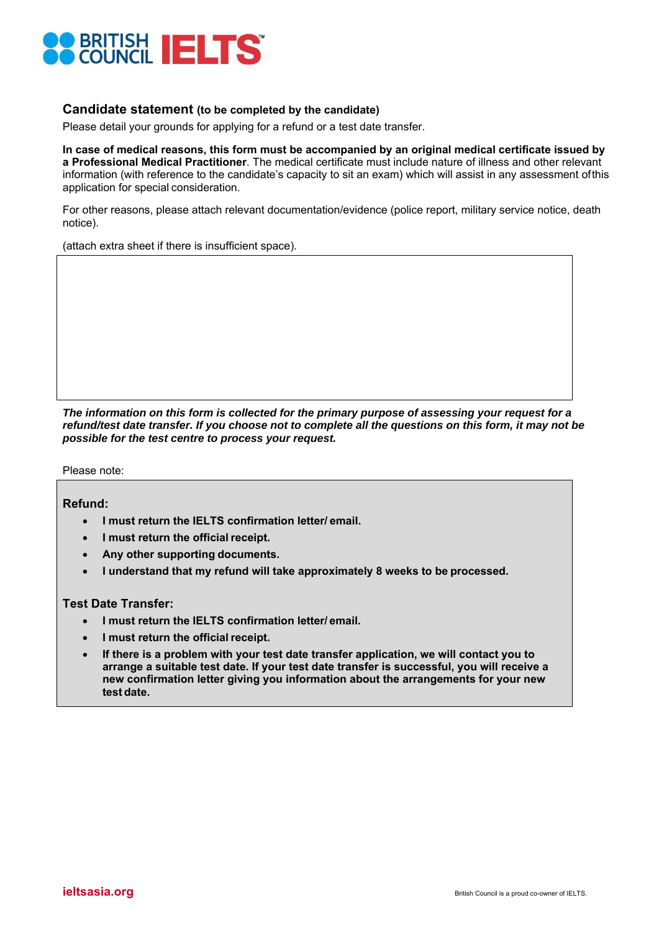

### **Candidate statement (to be completed by the candidate)**

Please detail your grounds for applying for a refund or a test date transfer.

**In case of medical reasons, this form must be accompanied by an original medical certificate issued by a Professional Medical Practitioner**. The medical certificate must include nature of illness and other relevant information (with reference to the candidate's capacity to sit an exam) which will assist in any assessment of this application for special consideration.

For other reasons, please attach relevant documentation/evidence (police report, military service notice, death notice).

(attach extra sheet if there is insufficient space).

*The information on this form is collected for the primary purpose of assessing your request for a refund/test date transfer. If you choose not to complete all the questions on this form, it may not be possible for the test centre to process your request.* 

Please note:

**Refund:** 

- **I must return the IELTS confirmation letter/ email.**
- **I must return the official receipt.**
- **Any other supporting documents.**
- **I understand that my refund will take approximately 8 weeks to be processed.**

### **Test Date Transfer:**

- **I must return the IELTS confirmation letter/ email.**
- **I must return the official receipt.**
- **If there is a problem with your test date transfer application, we will contact you to arrange a suitable test date. If your test date transfer is successful, you will receive a new confirmation letter giving you information about the arrangements for your new test date.**